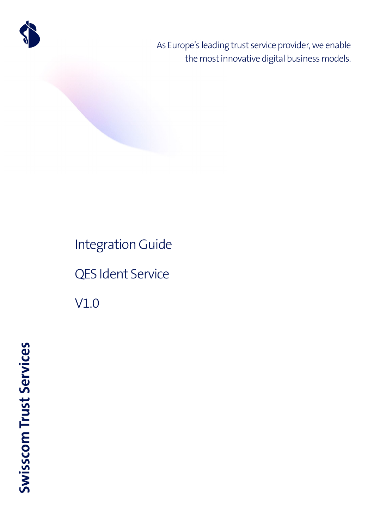

As Europe's leading trust service provider, we enable the most innovative digital business models.

# Integration Guide QES Ident Service V1.0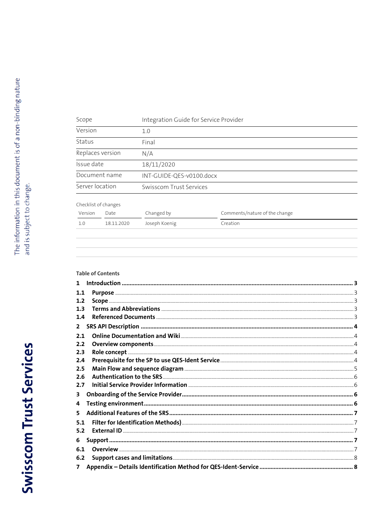| Scope                |            | Integration Guide for Service Provider |                               |  |
|----------------------|------------|----------------------------------------|-------------------------------|--|
| Version              |            | 1.0                                    |                               |  |
| Status               |            | Final                                  |                               |  |
| Replaces version     |            | N/A                                    |                               |  |
| Issue date           |            | 18/11/2020                             |                               |  |
| Document name        |            | INT-GUIDE-QES-v0100.docx               |                               |  |
| Server location      |            | <b>Swisscom Trust Services</b>         |                               |  |
| Checklist of changes |            |                                        |                               |  |
| Version              | Date       | Changed by                             | Comments/nature of the change |  |
| 1.0                  | 18.11.2020 | Joseph Koenig                          | Creation                      |  |
|                      |            |                                        |                               |  |

#### **Table of Contents**

| 1.1 |  |
|-----|--|
| 1.2 |  |
| 1.3 |  |
| 1.4 |  |
| 2   |  |
| 2.1 |  |
| 2.2 |  |
| 2.3 |  |
| 2.4 |  |
| 2.5 |  |
| 2.6 |  |
| 2.7 |  |
| 3.  |  |
| 4   |  |
| 5.  |  |
| 5.1 |  |
| 5.2 |  |
| 6   |  |
| 6.1 |  |
| 6.2 |  |
| 7   |  |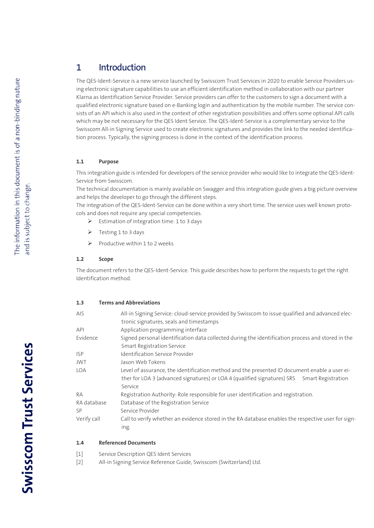# <span id="page-2-0"></span>1 Introduction

The QES-Ident-Service is a new service launched by Swisscom Trust Services in 2020 to enable Service Providers using electronic signature capabilities to use an efficient identification method in collaboration with our partner Klarna as Identification Service Provider. Service providers can offer to the customers to sign a document with a qualified electronic signature based on e-Banking login and authentication by the mobile number. The service consists of an API which is also used in the context of other registration possibilities and offers some optional API calls which may be not necessary for the QES Ident Service. The QES-Ident-Service is a complementary service to the Swisscom All-in Signing Service used to create electronic signatures and provides the link to the needed identification process. Typically, the signing process is done in the context of the identification process.

#### <span id="page-2-1"></span>**1.1 Purpose**

This integration guide is intended for developers of the service provider who would like to integrate the QES-Ident-Service from Swisscom.

The technical documentation is mainly available on Swagger and this integration guide gives a big picture overview and helps the developer to go through the different steps.

The integration of the QES-Ident-Service can be done within a very short time. The service uses well known protocols and does not require any special competencies.

- $\triangleright$  Estimation of integration time: 1 to 3 days
- Festing 1 to 3 days
- $\triangleright$  Productive within 1 to 2 weeks

#### <span id="page-2-2"></span>**1.2 Scope**

The document refers to the QES-Ident-Service. This guide describes how to perform the requests to get the right Identification method.

#### <span id="page-2-3"></span>**1.3 Terms and Abbreviations**

| <b>AIS</b>  | All-in Signing Service: cloud-service provided by Swisscom to issue qualified and advanced elec-   |
|-------------|----------------------------------------------------------------------------------------------------|
|             | tronic signatures, seals and timestamps                                                            |
| <b>API</b>  | Application programming interface                                                                  |
| Evidence    | Signed personal identification data collected during the identification process and stored in the  |
|             | <b>Smart Registration Service</b>                                                                  |
| <b>ISP</b>  | Identification Service Provider                                                                    |
| <b>JWT</b>  | Jason Web Tokens                                                                                   |
| <b>LOA</b>  | Level of assurance, the identification method and the presented ID document enable a user ei-      |
|             | ther for LOA 3 (advanced signatures) or LOA 4 (qualified signatures) SRS Smart Registration        |
|             | Service                                                                                            |
| RA          | Registration Authority: Role responsible for user identification and registration.                 |
| RA database | Database of the Registration Service                                                               |
| SP          | Service Provider                                                                                   |
| Verify call | Call to verify whether an evidence stored in the RA database enables the respective user for sign- |
|             | ing.                                                                                               |

#### <span id="page-2-4"></span>**1.4 Referenced Documents**

- [1] Service Description QES Ident Services
- [2] [All-in Signing Service Reference Guide,](http://documents.swisscom.com/product/1000255-Digital_Signing_Service/Documents/Reference_Guide/Reference_Guide-All-in-Signing-Service-en.pdf) Swisscom (Switzerland) Ltd.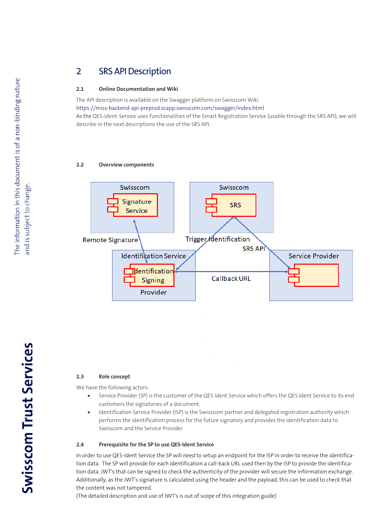# <span id="page-3-0"></span>2 SRS API Description

#### <span id="page-3-1"></span>**2.1 Online Documentation and Wiki**

The API description is available on the Swagger platform on Swisscom Wiki. <https://miss-backend-api-preprod.scapp.swisscom.com/swagger/index.html> As the QES-Ident-Service uses functionalities of the Smart Registration Service (usable through the SRS API), we will describe in the next descriptions the use of the SRS API.

#### <span id="page-3-2"></span>**2.2 Overview components**



#### <span id="page-3-3"></span>**2.3 Role concept**

We have the following actors:

- Service Provider (SP) is the customer of the QES Ident Service which offers the QES Ident Service to its end customers the signatories of a document.
- Identification Service Provider (ISP) is the Swisscom partner and delegated registration authority which performs the identification process for the future signatory and provides the identification data to Swisscom and the Service Provider

#### <span id="page-3-4"></span>**2.4 Prerequisite for the SP to use QES-Ident Service**

In order to use QES-Ident Service the SP will need to setup an endpoint for the ISP in order to receive the identification data. The SP will provide for each identification a call-back URL used then by the ISP to provide the identification data. JWT's that can be signed to check the authenticity of the provider will secure the information exchange. Additionally, as the JWT's signature is calculated using the header and the payload, this can be used to check that the content was not tampered.

(The detailed description and use of JWT's is out of scope of this integration guide)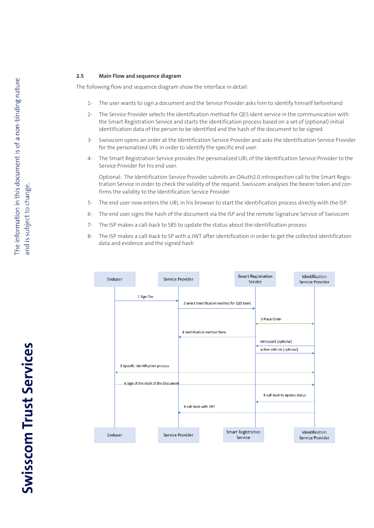#### <span id="page-4-0"></span>**2.5 Main Flow and sequence diagram**

The following flow and sequence diagram show the interface in detail:

- 1- The user wants to sign a document and the Service Provider asks him to identify himself beforehand
- 2- The Service Provider selects the identification method for QES Ident service in the communication with the Smart Registration Service and starts the identification process based on a set of (optional) initial identification data of the person to be identified and the hash of the document to be signed.
- 3- Swisscom opens an order at the Identification Service Provider and asks the Identification Service Provider for the personalized URL in order to identify the specific end user.
- 4- The Smart Registration Service provides the personalized URL of the Identification Service Provider to the Service Provider for his end user.

Optional: The Identification Service Provider submits an OAuth2.0 introspection call to the Smart Registration Service in order to check the validity of the request. Swisscom analyses the bearer token and confirms the validity to the Identification Service Provider

- 5- The end user now enters the URL in his browser to start the identification process directly with the ISP.
- 6- The end user signs the hash of the document via the ISP and the remote Signature Service of Swisscom
- 7- The ISP makes a call-back to SRS to update the status about the identification process
- 8- The ISP makes a call-back to SP with a JWT after identification in order to get the collected identification data and evidence and the signed hash



# **Swisscom Trust Services**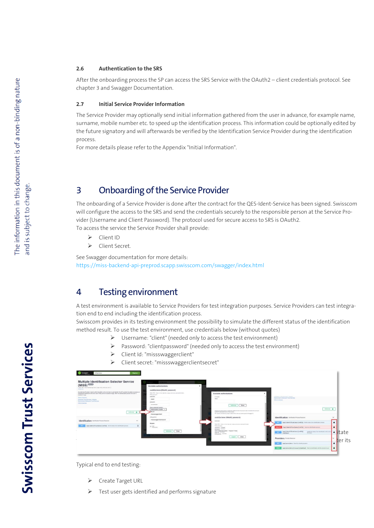#### <span id="page-5-0"></span>**2.6 Authentication to the SRS**

After the onboarding process the SP can access the SRS Service with the OAuth2 – client credentials protocol. See chapter 3 and Swagger Documentation.

#### <span id="page-5-1"></span>**2.7 Initial Service Provider Information**

The Service Provider may optionally send initial information gathered from the user in advance, for example name, surname, mobile number etc. to speed up the identification process. This information could be optionally edited by the future signatory and will afterwards be verified by the Identification Service Provider during the identification process.

For more details please refer to the Appendix "Initial Information".

# <span id="page-5-2"></span>3 Onboarding of the Service Provider

The onboarding of a Service Provider is done after the contract for the QES-Ident-Service has been signed. Swisscom will configure the access to the SRS and send the credentials securely to the responsible person at the Service Provider (Username and Client Password). The protocol used for secure access to SRS is OAuth2. To access the service the Service Provider shall provide:

- ▶ Client ID
- > Client Secret.

See Swagger documentation for more details: <https://miss-backend-api-preprod.scapp.swisscom.com/swagger/index.html>

## <span id="page-5-3"></span>4 Testing environment

A test environment is available to Service Providers for test integration purposes. Service Providers can test integration end to end including the identification process.

Swisscom provides in its testing environment the possibility to simulate the different status of the identification method result. To use the test environment, use credentials below (without quotes)

- Username: "client" (needed only to access the test environment)
- Password: "clientpassword" (needed only to access the test environment)
- Client Id: "missswaggerclient"
- Client secret: "missswaggerclientsecret"



Typical end to end testing:

- Create Target URL
- Test user gets identified and performs signature

**Swisscom Trust Services**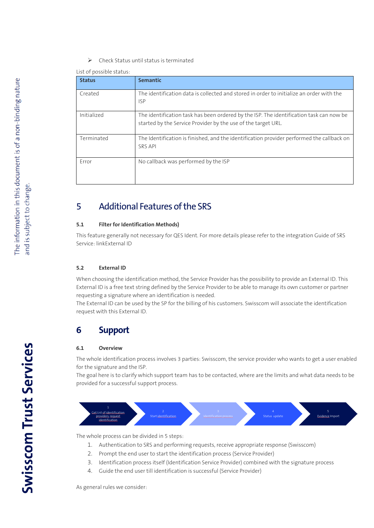$\triangleright$  Check Status until status is terminated

List of possible status:

| <b>Status</b> | <b>Semantic</b>                                                                                                                                          |
|---------------|----------------------------------------------------------------------------------------------------------------------------------------------------------|
| Created       | The identification data is collected and stored in order to initialize an order with the<br><b>ISP</b>                                                   |
| Initialized   | The identification task has been ordered by the ISP. The identification task can now be<br>started by the Service Provider by the use of the target URL. |
| Terminated    | The Identification is finished, and the identification provider performed the callback on<br><b>SRS API</b>                                              |
| Error         | No callback was performed by the ISP                                                                                                                     |

# <span id="page-6-0"></span>5 Additional Features of the SRS

#### <span id="page-6-1"></span>**5.1 Filter for Identification Methods)**

This feature generally not necessary for QES Ident. For more details please refer to the integration Guide of SRS Service: linkExternal ID

#### <span id="page-6-2"></span>**5.2 External ID**

When choosing the identification method, the Service Provider has the possibility to provide an External ID. This External ID is a free text string defined by the Service Provider to be able to manage its own customer or partner requesting a signature where an identification is needed.

The External ID can be used by the SP for the billing of his customers. Swisscom will associate the identification request with this External ID.

### <span id="page-6-3"></span>**6 Support**

#### <span id="page-6-4"></span>**6.1 Overview**

The whole identification process involves 3 parties: Swisscom, the service provider who wants to get a user enabled for the signature and the ISP.

The goal here is to clarify which support team has to be contacted, where are the limits and what data needs to be provided for a successful support process.



The whole process can be divided in 5 steps:

- 1. Authentication to SRS and performing requests, receive appropriate response (Swisscom)
- 2. Prompt the end user to start the identification process (Service Provider)
- 3. Identification process itself (Identification Service Provider) combined with the signature process
- 4. Guide the end user till identification is successful (Service Provider)

As general rules we consider:

**Swisscom Trust Services**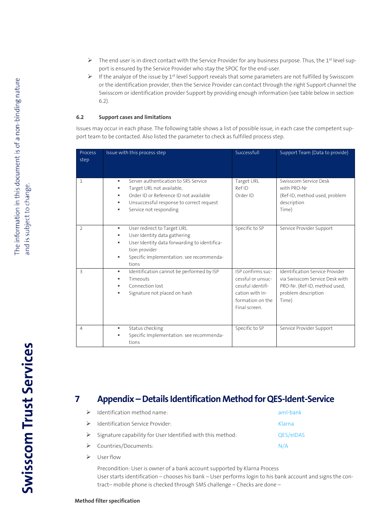- $\triangleright$  The end user is in direct contact with the Service Provider for any business purpose. Thus, the 1<sup>st</sup> level support is ensured by the Service Provider who stay the SPOC for the end-user.
- F If the analyze of the issue by 1<sup>st</sup> level Support reveals that some parameters are not fulfilled by Swisscom or the identification provider, then the Service Provider can contact through the right Support channel the Swisscom or identification provider Support by providing enough information (see table below in section 6.2).

#### <span id="page-7-0"></span>**6.2 Support cases and limitations**

Issues may occur in each phase. The following table shows a list of possible issue, in each case the competent support team to be contacted. Also listed the parameter to check as fulfilled process step.

| Process<br>step          | Issue with this process step                                                                                                                                                                               | Successfull                                                                                                         | Support Team (Data to provide)                                                                                                     |
|--------------------------|------------------------------------------------------------------------------------------------------------------------------------------------------------------------------------------------------------|---------------------------------------------------------------------------------------------------------------------|------------------------------------------------------------------------------------------------------------------------------------|
| 1                        | Server authentication to SRS Service<br>٠<br>Target URL not available,<br>٠<br>Order ID or Reference ID not available<br>٠<br>Unsuccessful response to correct request<br>٠<br>Service not responding<br>٠ | Target URL<br>Ref ID<br>Order ID                                                                                    | Swisscom Service Desk<br>with PRO-Nr<br>(Ref-ID, method used, problem<br>description<br>Time)                                      |
| $\overline{2}$           | User redirect to Target URL<br>٠<br>User Identity data gathering<br>٠<br>User Identity data forwarding to identifica-<br>٠<br>tion provider<br>Specific Implementation: see recommenda-<br>٠<br>tions      | Specific to SP                                                                                                      | Service Provider Support                                                                                                           |
| $\overline{\mathcal{E}}$ | Identification cannot be performed by ISP<br>٠<br>Timeouts<br>٠<br>Connection lost<br>٠<br>Signature not placed on hash<br>٠                                                                               | ISP confirms suc-<br>cessful or unsuc-<br>cessful identifi-<br>cation with In-<br>formation on the<br>Final screen. | Identification Service Provider<br>via Swisscom Service Desk with<br>PRO-Nr. (Ref-ID, method used,<br>problem description<br>Time) |
| $\overline{4}$           | Status checking<br>٠<br>Specific Implementation: see recommenda-<br>٠<br>tions                                                                                                                             | Specific to SP                                                                                                      | Service Provider Support                                                                                                           |

# <span id="page-7-1"></span>**7 Appendix –Details Identification Method for QES-Ident-Service**

| $\triangleright$ Identification method name:                                | aml-bank  |
|-----------------------------------------------------------------------------|-----------|
| $\triangleright$ Identification Service Provider:                           | Klarna    |
| $\triangleright$ Signature capability for User Identified with this method: | QES/eIDAS |
| $\triangleright$ Countries/Documents:                                       | N/A       |
| $\triangleright$ User flow                                                  |           |

Precondition: User is owner of a bank account supported by Klarna Process User starts identification – chooses his bank – User performs login to his bank account and signs the contract– mobile phone is checked through SMS challenge – Checks are done –